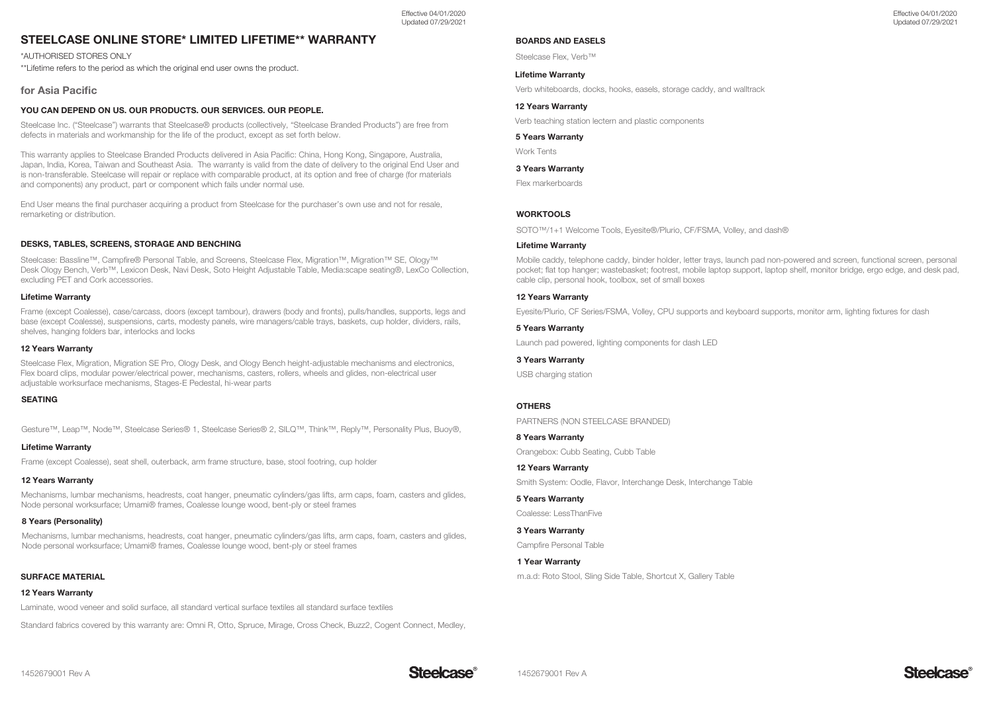# STEELCASE ONLINE STORE\* LIMITED LIFETIME\*\* WARRANTY

\*AUTHORISED STORES ONLY

\*\*Lifetime refers to the period as which the original end user owns the product.

### for Asia Pacific

### YOU CAN DEPEND ON US. OUR PRODUCTS. OUR SERVICES. OUR PEOPLE.

Steelcase Inc. ("Steelcase") warrants that Steelcase® products (collectively, "Steelcase Branded Products") are free from defects in materials and workmanship for the life of the product, except as set forth below.

This warranty applies to Steelcase Branded Products delivered in Asia Pacific: China, Hong Kong, Singapore, Australia, Japan, India, Korea, Taiwan and Southeast Asia. The warranty is valid from the date of delivery to the original End User and is non-transferable. Steelcase will repair or replace with comparable product, at its option and free of charge (for materials and components) any product, part or component which fails under normal use.

End User means the final purchaser acquiring a product from Steelcase for the purchaser's own use and not for resale, remarketing or distribution.

### DESKS, TABLES, SCREENS, STORAGE AND BENCHING

Steelcase: Bassline™, Campfire® Personal Table, and Screens, Steelcase Flex, Migration™, Migration™ SE, Ology™ Desk Ology Bench, Verb™, Lexicon Desk, Navi Desk, Soto Height Adjustable Table, Media:scape seating®, LexCo Collection, excluding PET and Cork accessories.

#### Lifetime Warranty

Frame (except Coalesse), case/carcass, doors (except tambour), drawers (body and fronts), pulls/handles, supports, legs and base (except Coalesse), suspensions, carts, modesty panels, wire managers/cable trays, baskets, cup holder, dividers, rails, shelves, hanging folders bar, interlocks and locks

#### 12 Years Warranty

Steelcase Flex, Migration, Migration SE Pro, Ology Desk, and Ology Bench height-adjustable mechanisms and electronics, Flex board clips, modular power/electrical power, mechanisms, casters, rollers, wheels and glides, non-electrical user adjustable worksurface mechanisms, Stages-E Pedestal, hi-wear parts

#### SEATING

Gesture™, Leap™, Node™, Steelcase Series® 1, Steelcase Series® 2, SILQ™, Think™, Reply™, Personality Plus, Buoy®,

#### Lifetime Warranty

Frame (except Coalesse), seat shell, outerback, arm frame structure, base, stool footring, cup holder

### 12 Years Warranty

Mechanisms, lumbar mechanisms, headrests, coat hanger, pneumatic cylinders/gas lifts, arm caps, foam, casters and glides, Node personal worksurface; Umami® frames, Coalesse lounge wood, bent-ply or steel frames

### 8 Years (Personality)

Mechanisms, lumbar mechanisms, headrests, coat hanger, pneumatic cylinders/gas lifts, arm caps, foam, casters and glides, Node personal worksurface; Umami® frames, Coalesse lounge wood, bent-ply or steel frames

### SURFACE MATERIAL

#### 12 Years Warranty

Laminate, wood veneer and solid surface, all standard vertical surface textiles all standard surface textiles

Standard fabrics covered by this warranty are: Omni R, Otto, Spruce, Mirage, Cross Check, Buzz2, Cogent Connect, Medley,

### BOARDS AND EASELS

Steelcase Flex, Verb™

### Lifetime Warranty

Verb whiteboards, docks, hooks, easels, storage caddy, and walltrack

#### 12 Years Warranty

Verb teaching station lectern and plastic components

#### 5 Years Warranty

Work Tents

#### 3 Years Warranty

Flex markerboards

### **WORKTOOLS**

SOTO™/1+1 Welcome Tools, Eyesite®/Plurio, CF/FSMA, Volley, and dash®

#### Lifetime Warranty

Mobile caddy, telephone caddy, binder holder, letter trays, launch pad non-powered and screen, functional screen, personal pocket; flat top hanger; wastebasket; footrest, mobile laptop support, laptop shelf, monitor bridge, ergo edge, and desk pad, cable clip, personal hook, toolbox, set of small boxes

### 12 Years Warranty

Eyesite/Plurio, CF Series/FSMA, Volley, CPU supports and keyboard supports, monitor arm, lighting fixtures for dash

#### 5 Years Warranty

Launch pad powered, lighting components for dash LED

#### 3 Years Warranty

USB charging station

### **OTHERS**

PARTNERS (NON STEELCASE BRANDED)

8 Years Warranty

Orangebox: Cubb Seating, Cubb Table

12 Years Warranty Smith System: Oodle, Flavor, Interchange Desk, Interchange Table

5 Years Warranty Coalesse: LessThanFive

3 Years Warranty

Campfire Personal Table

### 1 Year Warranty

m.a.d: Roto Stool, Sling Side Table, Shortcut X, Gallery Table

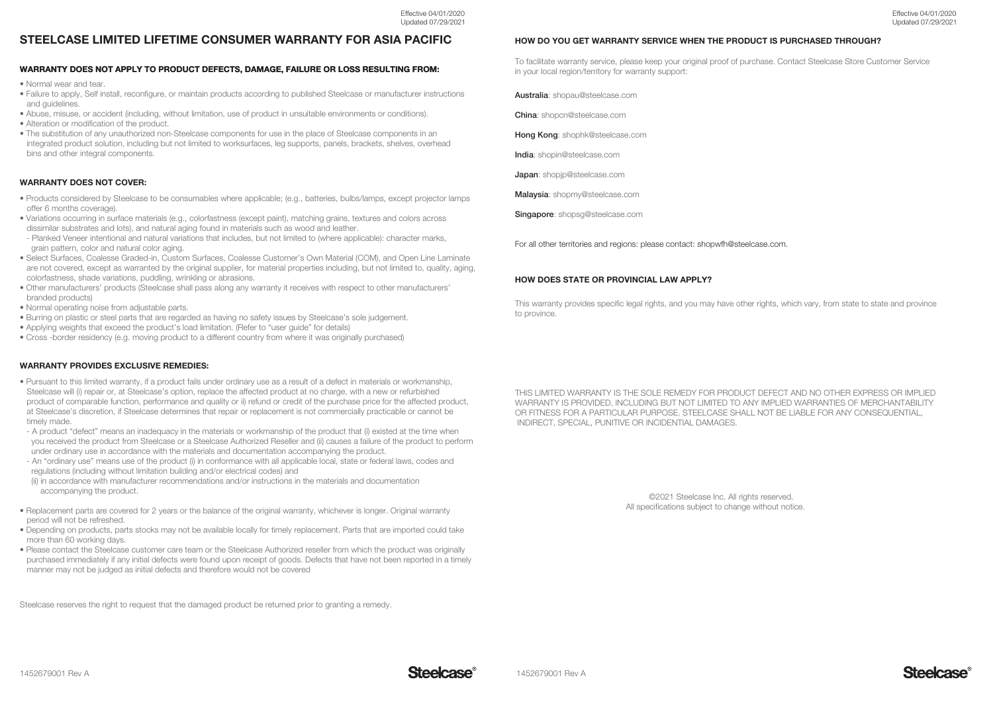# STEELCASE LIMITED LIFETIME CONSUMER WARRANTY FOR ASIA PACIFIC

### WARRANTY DOES NOT APPLY TO PRODUCT DEFECTS, DAMAGE, FAILURE OR LOSS RESULTING FROM:

• Normal wear and tear.

- Failure to apply, Self install, reconfigure, or maintain products according to published Steelcase or manufacturer instructions and guidelines.
- Abuse, misuse, or accident (including, without limitation, use of product in unsuitable environments or conditions).
- Alteration or modification of the product.
- The substitution of any unauthorized non-Steelcase components for use in the place of Steelcase components in an integrated product solution, including but not limited to worksurfaces, leg supports, panels, brackets, shelves, overhead bins and other integral components.

### WARRANTY DOES NOT COVER:

- Products considered by Steelcase to be consumables where applicable; (e.g., batteries, bulbs/lamps, except projector lamps offer 6 months coverage).
- Variations occurring in surface materials (e.g., colorfastness (except paint), matching grains, textures and colors across dissimilar substrates and lots), and natural aging found in materials such as wood and leather.
- Planked Veneer intentional and natural variations that includes, but not limited to (where applicable): character marks, grain pattern, color and natural color aging.
- Select Surfaces, Coalesse Graded-in, Custom Surfaces, Coalesse Customer's Own Material (COM), and Open Line Laminate are not covered, except as warranted by the original supplier, for material properties including, but not limited to, quality, aging, colorfastness, shade variations, puddling, wrinkling or abrasions.
- Other manufacturers' products (Steelcase shall pass along any warranty it receives with respect to other manufacturers' branded products)
- Normal operating noise from adjustable parts.
- Burring on plastic or steel parts that are regarded as having no safety issues by Steelcase's sole judgement.
- Applying weights that exceed the product's load limitation. (Refer to "user guide" for details)
- Cross -border residency (e.g. moving product to a different country from where it was originally purchased)

### WARRANTY PROVIDES EXCLUSIVE REMEDIES:

- Pursuant to this limited warranty, if a product fails under ordinary use as a result of a defect in materials or workmanship, Steelcase will (i) repair or, at Steelcase's option, replace the affected product at no charge, with a new or refurbished product of comparable function, performance and quality or ii) refund or credit of the purchase price for the affected product, at Steelcase's discretion, if Steelcase determines that repair or replacement is not commercially practicable or cannot be timely made.
- A product "defect" means an inadequacy in the materials or workmanship of the product that (i) existed at the time when you received the product from Steelcase or a Steelcase Authorized Reseller and (ii) causes a failure of the product to perform under ordinary use in accordance with the materials and documentation accompanying the product.
- An "ordinary use" means use of the product (i) in conformance with all applicable local, state or federal laws, codes and regulations (including without limitation building and/or electrical codes) and
- (ii) in accordance with manufacturer recommendations and/or instructions in the materials and documentation accompanying the product.
- Replacement parts are covered for 2 years or the balance of the original warranty, whichever is longer. Original warranty period will not be refreshed.
- Depending on products, parts stocks may not be available locally for timely replacement. Parts that are imported could take more than 60 working days.
- Please contact the Steelcase customer care team or the Steelcase Authorized reseller from which the product was originally purchased immediately if any initial defects were found upon receipt of goods. Defects that have not been reported in a timely manner may not be judged as initial defects and therefore would not be covered

Steelcase reserves the right to request that the damaged product be returned prior to granting a remedy.

### HOW DO YOU GET WARRANTY SERVICE WHEN THE PRODUCT IS PURCHASED THROUGH?

To facilitate warranty service, please keep your original proof of purchase. Contact Steelcase Store Customer Service in your local region/territory for warranty support:

Australia: shopau@steelcase.com

China: shopcn@steelcase.com

Hong Kong: shophk@steelcase.com

India: shopin@steelcase.com

Japan: shopjp@steelcase.com

Malaysia: shopmy@steelcase.com

Singapore: shopsg@steelcase.com

For all other territories and regions: please contact: shopwfh@steelcase.com.

### HOW DOES STATE OR PROVINCIAL LAW APPLY?

This warranty provides specific legal rights, and you may have other rights, which vary, from state to state and province to province.

THIS LIMITED WARRANTY IS THE SOLE REMEDY FOR PRODUCT DEFECT AND NO OTHER EXPRESS OR IMPLIED WARRANTY IS PROVIDED, INCLUDING BUT NOT LIMITED TO ANY IMPLIED WARRANTIES OF MERCHANTABILITY OR FITNESS FOR A PARTICULAR PURPOSE. STEELCASE SHALL NOT BE LIABLE FOR ANY CONSEQUENTIAL, INDIRECT, SPECIAL, PUNITIVE OR INCIDENTIAL DAMAGES.

> ©2021 Steelcase Inc. All rights reserved. All specifications subject to change without notice.

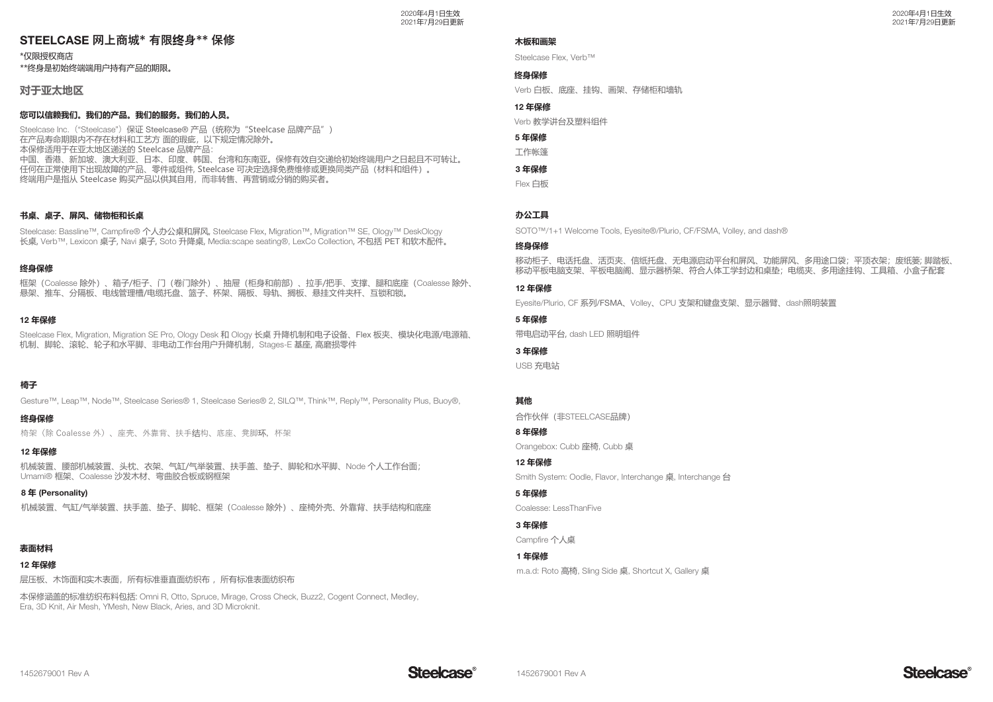# STEELCASE 网上商城\* 有限终身\*\* 保修

\*仅限授权商店

\*\*终身是初始终端端用户持有产品的期限。

对于亚太地**区** 

### 您可以信赖我们。我们的产品。我们的服务。我们的人员。

Steelcase Inc. ("Steelcase") 保证 Steelcase® 产品 (统称为 "Steelcase 品牌产品") 在产品寿命期限内不存在材料和工艺方 面的瑕疵,以下规定情况除外。 本保修适用于在亚太地区递送的 Steelcase 品牌产品: 中国、香港、新加坡、澳大利亚、日本、印度、韩国、台湾和东南亚。保修有效自交递给初始终端用户之日起且不可转让。 任何在正常使用下出现故障的产品、零件或组件, Steelcase 可决定选择免费维修或更换同类产品(材料和组件)。 ِ<br>终端用户是指从 Steelcase 购买产品以供其自用,而非转售、再营销或分销的购买者。

# 书桌、桌子、屏风、储物柜和长桌

Steelcase: Bassline™, Campfire®个人办公桌和屏风, Steelcase Flex, Migration™, Migration™ SE, Ology™ DeskOlogy 长桌, Verb™, Lexicon 桌子, Navi 桌子, Soto 升降桌, Media:scape seating®, LexCo Collection, 不包括 PET 和软木配件。

### 终身保修

框架(Coalesse 除外),箱子/柜子、门(卷门除外),抽屉(柜身和前部),拉手/把手、支撑,腿和底座(Coalesse 除外, 悬架、推车、分隔板、电线管理槽/电缆托盘、篮子、杯架、隔板、导轨、搁板、悬挂文件夹杆、互锁和锁。

# 12年保修

Steelcase Flex, Migration, Migration SE Pro, Ology Desk 和 Ology 长桌 升降机制和电子设备、Flex 板夹、模块化电源/电源箱 机制、脚轮、滚轮、轮子和水平脚、非电动工作台用户升降机制,Stages-E 基座, 高磨损零件

# 椅子

Gesture™, Leap™, Node™, Steelcase Series® 1, Steelcase Series® 2, SILQ™, Think™, Reply™, Personality Plus, Buoy®,

# 终身保修

椅架(除 Coalesse 外)、座壳、外靠背、扶手<mark>结</mark>构、底座、凳脚<mark>环</mark>,杯架

# 12年保修

机械装置、腰部机械装置、头枕、衣架、气缸/气举装置、扶手盖、垫子、脚轮和水平脚、Node 个人工作台面; With the coalesse 沙发木材、弯曲胶合板或钢框架

(Personality(**اٴ** 8 机械装置、气缸/气举装置、扶手盖、垫子、脚轮、框架(Coalesse 除外)、座椅外壳、外靠背、扶手结构和底座

# 表面材料

# 12年保修

层压板 木饰面和实木表面,所有标准垂直面纺织布 ,所有标准表面纺织布

本保修涵盖的标准纺织布料包括: Omni R, Otto, Spruce, Mirage, Cross Check, Buzz2, Cogent Connect, Medley, Era, 3D Knit, Air Mesh, YMesh, New Black, Aries, and 3D Microknit.

### 木板和画架

Steelcase Flex, Verb™

# 终身保修

Verb 白板、底座、挂钩、画架、存储柜和墙轨

# 12 年保修

Verb 教学讲台及塑料组件

# **5年保修**

丁作帐篷

# 3年保修

Flex 白板

# か公工具

SOTO™/1+1 Welcome Tools, Eyesite®/Plurio, CF/FSMA, Volley, and dash®

## 终身保修

移动柜子、电话托盘、活页夹、信纸托盘、无电源启动平台和屏风、功能屏风、多用途口袋;平顶衣架;废纸篓; 脚踏板、 移动平板电脑文架、平板电脑阁、显示器桥架、符合人体工学封边和卓垫;电缆夹、多用途挂钩、工具箱、小盒子配套

### 12 年保修

Evesite/Plurio, CF 系列/FSMA、Volley、CPU 支架和键盘支架、显示器臂、dash照明装置

# **5年保修**

带电启动平台, dash LED 照明组件

# 3 年保修

USB 充电站

# **Ҿє**

合作伙伴 (非STEELCASE品牌)

# **ҐҒاٴ** 8

Orangebox: Cubb 座椅, Cubb 桌

# 12 年保修

Smith System: Oodle, Flavor, Interchange 点, Interchange 台

# **5年保修**

Coalesse: LessThanFive

# 3年保修

Campfire 个人卓

### 1年保修

m.a.d: Roto 高椅, Sling Side 桌, Shortcut X, Gallery 桌

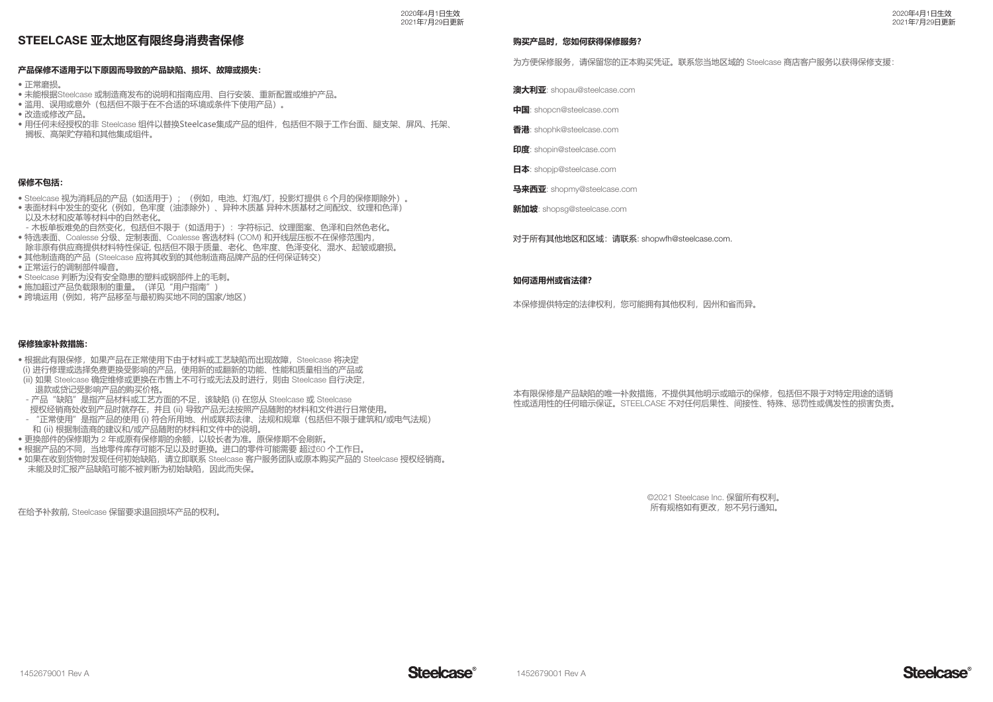2020年4月1日生效 2021年7月29日更新

# STEELCASE 亚太地区有限终身消费者保修

# 产品保修不适用于以下原因而导致的产品缺陷、损坏、故障或损失:

• 正常磨损。

- 未能根据Steelcase 或制造商发布的说明和指南应用、自行安装、重新配置或维护产品。
- 滥用、误用或意外(包括但不限于在不合适的环境或条件下使用产品)。
- •改造或修改产品。
- 用任何未经授权的非 Steelcase 组件以替换Steelcase集成产品的组件,包括但不限于工作台面、腿支架、屏风、托架、 ߡݚ澝߫ેঔչҿѕதۨুў澞

### 保修不包括:

- Steelcase 视为消耗品的产品(如适用于);(例如,电池、灯泡/灯,投影灯提供 6 个月的保修期除外)。
- 表面材料中发生的变化(例如,色牢度(油漆除外)、异种木质基 异种木质基材之间配纹、纹理和色泽) 以及木材和皮革等材料中的自然老化。
- 木板单板难免的自然变化,包括但不限于(如适用于): 字符标记、纹理图案、色泽和自然色老化。 • 特选表面、Coalesse 分级、定制表面、Coalesse 客选材料 (COM) 和开线层压板不在保修范围内
- 除非原有供应商提供材料特性保证,包括但不限于质量、老化、色牢度、色泽变化、混水、起皱或磨损。
- 其他制造商的产品(Steelcase 应将其收到的其他制造商品牌产品的任何保证转交) • 正常运行的调制部件噪音。
- Steelcase 判断为没有安全隐患的塑料或钢部件上的毛刺。
- •施加超过产品负载限制的重量。(详见"用户指南")
- 
- 跨境运用(例如, 将产品移至与最初购买地不同的国家/地区)

#### 购买产品时,您如何获得保修服务?

为方便保修服务,请保留您的正本购买凭证。联系您当地区域的 Steelcase 商店客户服务以获得保修支援:

**澳大利亚**: shopau@steelcase.com

**З֡**: shopcn@steelcase.com

香港· shophk@steelcase.com

**Ԭڅ**: shopin@steelcase.com

**日本**: shopip@steelcase.com

**马来西亚**: shopmy@steelcase.com

**新加坡**: shopsg@steelcase.com

对于所有其他地区和区域: 请联系: shopwfh@steelcase.com.

#### 如何适用州或省法律?

本保修提供特定的法律权利,您可能拥有其他权利,因州和省而异。

#### 保修独家补救措施:

- •根据此有限保修,如果产品在正常使用下由于材料或工艺缺陷而出现故障,Steelcase 将决定
- (i) 进行修理或选择免费更换受影响的产品, 使用新的或翻新的功能、性能和质量相当的产品或
- (ii) 如果 Steelcase 确定维修或更换在市售上不可行或无法及时进行, 则由 Steelcase 自行决定, 退款或贷记受影响产品的购买价格。
- 产品"缺陷"是指产品材料或工艺方面的不足,该缺陷 (i) 在您从 Steelcase 或 Steelcase
- 授权经销商处收到产品时就存在,并且(ii)导致产品无法按照产品随附的材料和文件进行日常使用。
- · "正常使用"是指产品的使用(i)符合所用地、州或联邦法律、法规和规章(包括但不限于建筑和/或电气法规) 和 (ii) 根据制造商的建议和/或产品随附的材料和文件中的说明。
- •更换部件的保修期为2年或原有保修期的余额,以较长者为准。原保修期不会刷新。
- 根据产品的不同,当地零件库存可能不足以及时更换。进口的零件可能需要 超过60 个工作日。
- 如果在收到货物时发现任何初始缺陷,请立即联系 Steelcase 客户服务团队或原本购买产品的 Steelcase 授权经销商。 未能及时汇报产品缺陷可能不被判断为初始缺陷,因此而失保。

在给予补救前, Steelcase 保留要求退回损坏产品的权利。

#### 本有限保修是产品缺陷的唯一补救措施,不提供其他明示或暗示的保修,包括但不限于对特定用途的适销 性或适用性的任何暗示保证。STEELCASE 不对任何后果性、间接性、特殊、惩罚性或偶发性的损害负责。

©2021 Steelcase Inc. 保留所有权利。 所有规格如有更改,恕不另行通知。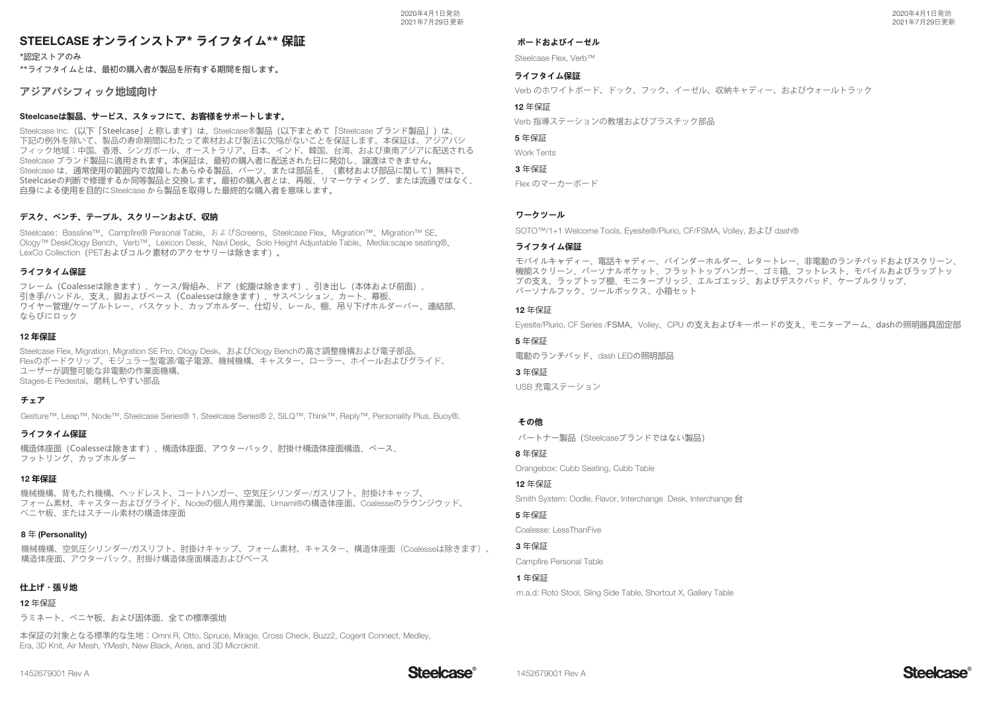# STEELCASE オンラインストア\* ライフタイム\*\* 保証

\*認定ストアのみ \*\*ライフタイムとは、最初の購入者が製品を所有する期間を指します。

# アジアパシフィック地**域向け**

# Steelcaseは製品、サービス、スタッフにて、お客様をサポートします。

Steelcase Inc. (以下「Steelcase」と称します)は、Steelcase®製品(以下まとめて「Steelcase ブランド製品」)は、 下記の例外を除いて、製品の寿命期間にわたって素材および製法に欠陥がないことを保証します。本保証は、アジアパシ フィック地域:中国、香港、シンガポール、オーストラリア、日本、インド、韓国、台湾、および東南アジアに配送されるSteelcase ブランド製品に適用されます。本保証は、最初の購入者に配送された日に発効し、譲渡はできません。 Steelcase は、通常使用の範囲内で故障したあらゆる製品、パーツ、または部品を、(素材および部品に関して)無料で、 Steelcaseの判断で修理するか同等製品と交換します。最初の購入者とは、再販、リマーケティング、または流通ではなく、 自身による使用を目的にSteelcase から製品を取得した最終的な購入者を意味します。

# デスク、ベンチ、テーブル、スクリーンおよび、収納

Steelcase: Bassline™, Campfire® Personal Table, およびScreens, Steelcase Flex, Migration™ Migration™ SE, Ology™ DeskOlogy Bench, Verb™, Lexicon Desk, Navi Desk, Solo Height Adjustable Table, Media:scape seating®, LexCo Collection (PETおよびコルク素材のアクセサリーは除きます)。

### **ライフタイム保証**

フレーム (Coalesseは除きます)、ケース/骨組み、ドア (蛇腹は除きます)、引き出し (本体および前面)、 引き手/ハンドル、支え、脚およびベース(Coalesseは除きます)、サスペンション、カート、幕板、 ワイヤー管理/ケーブルトレー、バスケット、カップホルダー、仕切り、レール、棚、吊り下げホルダーバー、連結部、 ならびにロック

# 12年保証

Steelcase Flex, Migration, Migration SE Pro, Ology Desk、およびOlogy Benchの高さ調整機構および電子部品、 Flexのボードクリップ、モジュラー型電源/電子電源、機械機構、キャスター、ローラー、ホイールおよびグライド、 ユーザーが調整可能な非電動の作業面機構、Stages-E Pedestal、磨耗しやすい部品

# **灚灀瀻**

Gesture™, Leap™, Node™, Steelcase Series® 1, Steelcase Series® 2, SILQ™, Think™, Reply™, Personality Plus, Buoy®,

### **ライフタイム保証**

構造体座面 (Coalesseは除きます)、構造体座面、アウターバック、肘掛け構造体座面構造、ベース、 フットリング、カップホルダー

### 12年保証

機械機構、背もたれ機構、ヘッドレスト、コートハンガー、空気圧シリンダー/ガスリフト、肘掛けキャップ、フォーム素材、キャスターおよびグライド、Nodeの個人用作業面、Umami®の構造体座面、Coalesseのラウンジウッド、ベニヤ板、またはスチール素材の構造体座面

### <sup>8</sup>年 (Personality)

機械機構、空気圧シリンダー/ガスリフト、肘掛けキャップ、フォーム素材、キャスター、構造体座面(Coalesseは除きます)、構造体座面、アウターバック、肘掛け構造体座面構造およびベース

### **仕上げ・張り地**

12 年保証

ラミネート、ベニヤ板、および固体面、全ての標準張地

本保証の対象となる標準的な生地:Omni R, Otto, Spruce, Mirage, Cross Check, Buzz2, Cogent Connect, Medley, Era, 3D Knit, Air Mesh, YMesh, New Black, Aries, and 3D Microknit.

### **ボードおよびイーゼル**

Steelcase Flex, Verb™

### **ライフタイム保証**

Verb のホワイトボード、ドック、フック、イーゼル、収納キャディー、およびウォールトラック

### 12 年保証

Verb 指導ステーションの教壇およびプラスチック部品

### 5 年保証

Work Tents

# 3 年保証

Flex のマーカーボード

### **ワークツール**

SOTO™/1+1 Welcome Tools, Eyesite®/Plurio, CF/FSMA, Volley, および dash®

### **ライフタイム保証**

モバイルキャディー、電話キャディー、バインダーホルダー、レタートレー、非電動のランチパッドおよびスクリーン、 機能スクリーン、パーソナルポケット、フラットトップハンガー、ゴミ箱、フットレスト、モバイルおよびラップトッ プの支え、ラップトップ棚、モニターブリッジ、エルゴエッジ、およびデスクパッド、ケーブルクリップ、 パーソナルフック、ツールボックス、小箱セット

### 12 年保証

Evesite/Plurio, CF Series /FSMA、Volley、CPU の支えおよびキーボードの支え、モニターアーム、dashの照明器具固定部

# 5 年保証

電動のランチパッド. dash LEDの照明部品

### 3 年保証

USB 充電ステーション

### **その他**

パートナー製品 (Steelcaseブランドではない製品)

8 年保証

Orangebox: Cubb Seating, Cubb Table

### 12 年保証

Smith System: Oodle, Flavor, Interchange Desk, Interchange 台

# 5 年保証

Coalesse: LessThanFive

### 3年保証

Campfire Personal Table

### 1 年保証

m.a.d: Roto Stool, Sling Side Table, Shortcut X, Gallery Table